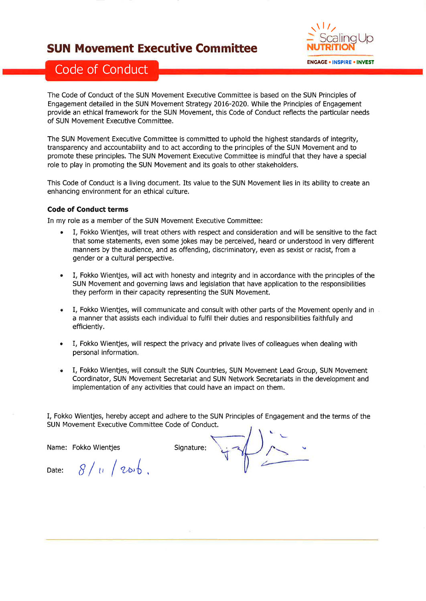### SUN Movement Executive Committee



## Code of Conduct

The Code of Conduct of the SUN Movement Executive Committee is based on the SUN Principles of Engagement detailed in the SUN Movement Strategy 2016-2020. While the Principles of Engagement provide an ethical framework for the SUN Movement, this Code of Conduct reflects the particular needs of SUN Movement Executive Committee.

The SUN Movement Executive Committee is committed to uphold the highest standards of integrity, transparency and accountability and to act according to the principles of the SUN Movement and to promote these principles. The SUN Movement Executive Committee is mindful that they have a special role to play in promoting the SUN Movement and its goals to other stakeholders.

This Code of Conduct is a living document. Its value to the SUN Movement lies in its ability to create an enhancing environment for an ethical culture.

#### Code of Conduct terms

In my role as a member of the SUN Movement Executive Committee:

- . I, Fokko Wientjes, will treat others with respect and consideration and will be sensitive to the fact that some statements, even some jokes may be perceived, heard or understood in very different manners by the audience, and as offending, discriminatory, even as sexist or racist, from a gender or a cultural perspective.
- I, Fokko Wientjes, will act with honesty and integrity and in accordance with the principles of the SUN Movement and governing laws and legislation that have application to the responsibilities they perform in their capacity representing the SUN Movement. a
- I, Fokko Wientjes, will communicate and consult with other parts of the Movement openly and in a manner that assists each individual to fulfil their duties and responsibilities faithfully and efficiently. a
- I, Fokko Wientjes, will respect the privacy and private lives of colleagues when dealing with personal information, a
- I, Fokko Wientjes, will consult the SUN Countries, SUN Movement Lead Group, SUN Movement Coordinator, SUN Movement Secretariat and SUN Network Secretariats in the development and implementation of any activities that could have an impact on them. a

I, Fokko Wientjes, hereby accept and adhere to the SUN Principles of Engagement and the terms of the SUN Movement Executive Committee Code of Conduct, \

Name: Fokko Wientjes Signature:

Date:  $8/u \left(20\right)6$ ,